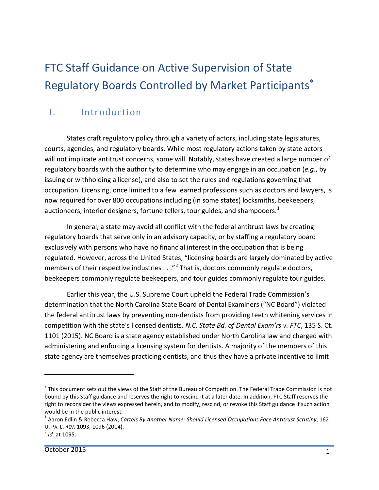# FTC Staff Guidance on Active Supervision of State Regulatory Boards Controlled by Market Participants<sup>\*</sup>

# I. Introduction

States craft regulatory policy through a variety of actors, including state legislatures, courts, agencies, and regulatory boards. While most regulatory actions taken by state actors will not implicate antitrust concerns, some will. Notably, states have created a large number of regulatory boards with the authority to determine who may engage in an occupation (*e.g.*, by issuing or withholding a license), and also to set the rules and regulations governing that occupation. Licensing, once limited to a few learned professions such as doctors and lawyers, is now required for over 800 occupations including (in some states) locksmiths, beekeepers, auctioneers, interior designers, fortune tellers, tour guides, and shampooers.<sup>[1](#page-0-1)</sup>

In general, a state may avoid all conflict with the federal antitrust laws by creating regulatory boards that serve only in an advisory capacity, or by staffing a regulatory board exclusively with persons who have no financial interest in the occupation that is being regulated. However, across the United States, "licensing boards are largely dominated by active members of their respective industries . . ."<sup>[2](#page-0-2)</sup> That is, doctors commonly regulate doctors, beekeepers commonly regulate beekeepers, and tour guides commonly regulate tour guides.

Earlier this year, the U.S. Supreme Court upheld the Federal Trade Commission's determination that the North Carolina State Board of Dental Examiners ("NC Board") violated the federal antitrust laws by preventing non-dentists from providing teeth whitening services in competition with the state's licensed dentists. *N.C. State Bd. of Dental Exam'rs v. FTC*, 135 S. Ct. 1101 (2015). NC Board is a state agency established under North Carolina law and charged with administering and enforcing a licensing system for dentists. A majority of the members of this state agency are themselves practicing dentists, and thus they have a private incentive to limit

<span id="page-0-0"></span><sup>∗</sup> This document sets out the views of the Staff of the Bureau of Competition. The Federal Trade Commission is not bound by this Staff guidance and reserves the right to rescind it at a later date. In addition, FTC Staff reserves the right to reconsider the views expressed herein, and to modify, rescind, or revoke this Staff guidance if such action would be in the public interest.

<span id="page-0-1"></span><sup>1</sup> Aaron Edlin & Rebecca Haw, *Cartels By Another Name: Should Licensed Occupations Face Antitrust Scrutiny*, 162 U. PA. L. REV. 1093, 1096 (2014). <sup>2</sup> *Id.* at 1095.

<span id="page-0-2"></span>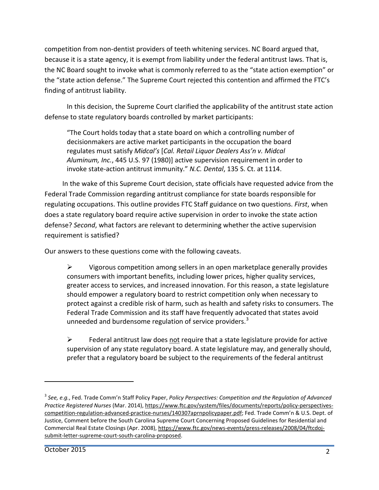competition from non-dentist providers of teeth whitening services. NC Board argued that, because it is a state agency, it is exempt from liability under the federal antitrust laws. That is, the NC Board sought to invoke what is commonly referred to as the "state action exemption" or the "state action defense." The Supreme Court rejected this contention and affirmed the FTC's finding of antitrust liability.

In this decision, the Supreme Court clarified the applicability of the antitrust state action defense to state regulatory boards controlled by market participants:

"The Court holds today that a state board on which a controlling number of decisionmakers are active market participants in the occupation the board regulates must satisfy *Midcal's* [*Cal. Retail Liquor Dealers Ass'n v. Midcal Aluminum, Inc.*, 445 U.S. 97 (1980)] active supervision requirement in order to invoke state-action antitrust immunity." *N.C. Dental*, 135 S. Ct. at 1114.

In the wake of this Supreme Court decision, state officials have requested advice from the Federal Trade Commission regarding antitrust compliance for state boards responsible for regulating occupations. This outline provides FTC Staff guidance on two questions. *First*, when does a state regulatory board require active supervision in order to invoke the state action defense? *Second*, what factors are relevant to determining whether the active supervision requirement is satisfied?

Our answers to these questions come with the following caveats.

 $\triangleright$  Vigorous competition among sellers in an open marketplace generally provides consumers with important benefits, including lower prices, higher quality services, greater access to services, and increased innovation. For this reason, a state legislature should empower a regulatory board to restrict competition only when necessary to protect against a credible risk of harm, such as health and safety risks to consumers. The Federal Trade Commission and its staff have frequently advocated that states avoid unneeded and burdensome regulation of service providers.<sup>[3](#page-1-0)</sup>

 $\triangleright$  Federal antitrust law does not require that a state legislature provide for active supervision of any state regulatory board. A state legislature may, and generally should, prefer that a regulatory board be subject to the requirements of the federal antitrust

 $\overline{a}$ 

<span id="page-1-0"></span><sup>3</sup> *See, e.g.*, Fed. Trade Comm'n Staff Policy Paper, *Policy Perspectives: Competition and the Regulation of Advanced Practice Registered Nurses* (Mar. 2014)[, https://www.ftc.gov/system/files/documents/reports/policy-perspectives](https://www.ftc.gov/system/files/documents/reports/policy-perspectives-competition-regulation-advanced-practice-nurses/140307aprnpolicypaper.pdf)[competition-regulation-advanced-practice-nurses/140307aprnpolicypaper.pdf;](https://www.ftc.gov/system/files/documents/reports/policy-perspectives-competition-regulation-advanced-practice-nurses/140307aprnpolicypaper.pdf) Fed. Trade Comm'n & U.S. Dept. of Justice, Comment before the South Carolina Supreme Court Concerning Proposed Guidelines for Residential and Commercial Real Estate Closings (Apr. 2008), [https://www.ftc.gov/news-events/press-releases/2008/04/ftcdoj](https://www.ftc.gov/news-events/press-releases/2008/04/ftcdoj-submit-letter-supreme-court-south-carolina-proposed)[submit-letter-supreme-court-south-carolina-proposed.](https://www.ftc.gov/news-events/press-releases/2008/04/ftcdoj-submit-letter-supreme-court-south-carolina-proposed)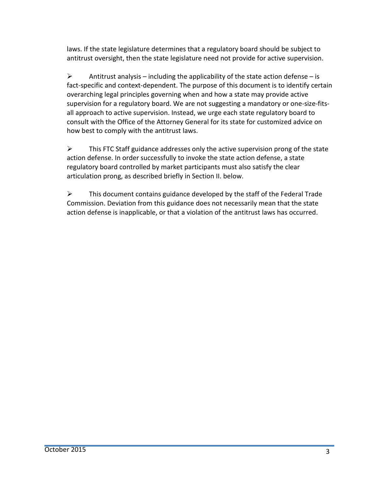laws. If the state legislature determines that a regulatory board should be subject to antitrust oversight, then the state legislature need not provide for active supervision.

Antitrust analysis – including the applicability of the state action defense – is fact-specific and context-dependent. The purpose of this document is to identify certain overarching legal principles governing when and how a state may provide active supervision for a regulatory board. We are not suggesting a mandatory or one-size-fitsall approach to active supervision. Instead, we urge each state regulatory board to consult with the Office of the Attorney General for its state for customized advice on how best to comply with the antitrust laws.

 $\triangleright$  This FTC Staff guidance addresses only the active supervision prong of the state action defense. In order successfully to invoke the state action defense, a state regulatory board controlled by market participants must also satisfy the clear articulation prong, as described briefly in Section II. below.

 $\triangleright$  This document contains guidance developed by the staff of the Federal Trade Commission. Deviation from this guidance does not necessarily mean that the state action defense is inapplicable, or that a violation of the antitrust laws has occurred.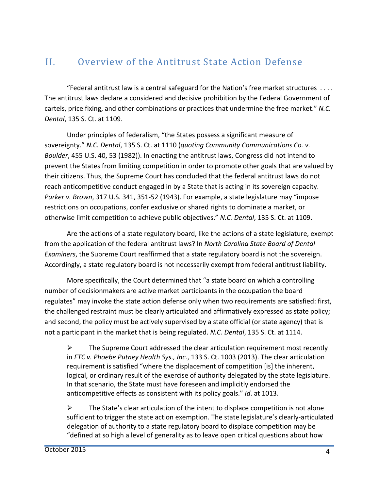## II. Overview of the Antitrust State Action Defense

"Federal antitrust law is a central safeguard for the Nation's free market structures . . . . The antitrust laws declare a considered and decisive prohibition by the Federal Government of cartels, price fixing, and other combinations or practices that undermine the free market." *N.C. Dental*, 135 S. Ct. at 1109.

Under principles of federalism, "the States possess a significant measure of sovereignty." *N.C. Dental*, 135 S. Ct. at 1110 (*quoting Community Communications Co. v. Boulder*, 455 U.S. 40, 53 (1982)). In enacting the antitrust laws, Congress did not intend to prevent the States from limiting competition in order to promote other goals that are valued by their citizens. Thus, the Supreme Court has concluded that the federal antitrust laws do not reach anticompetitive conduct engaged in by a State that is acting in its sovereign capacity. *Parker v. Brown*, 317 U.S. 341, 351-52 (1943). For example, a state legislature may "impose restrictions on occupations, confer exclusive or shared rights to dominate a market, or otherwise limit competition to achieve public objectives." *N.C. Dental*, 135 S. Ct. at 1109.

Are the actions of a state regulatory board, like the actions of a state legislature, exempt from the application of the federal antitrust laws? In *North Carolina State Board of Dental Examiners*, the Supreme Court reaffirmed that a state regulatory board is not the sovereign. Accordingly, a state regulatory board is not necessarily exempt from federal antitrust liability.

More specifically, the Court determined that "a state board on which a controlling number of decisionmakers are active market participants in the occupation the board regulates" may invoke the state action defense only when two requirements are satisfied: first, the challenged restraint must be clearly articulated and affirmatively expressed as state policy; and second, the policy must be actively supervised by a state official (or state agency) that is not a participant in the market that is being regulated. *N.C. Dental*, 135 S. Ct. at 1114.

 $\triangleright$  The Supreme Court addressed the clear articulation requirement most recently in *FTC v. Phoebe Putney Health Sys., Inc.*, 133 S. Ct. 1003 (2013). The clear articulation requirement is satisfied "where the displacement of competition [is] the inherent, logical, or ordinary result of the exercise of authority delegated by the state legislature. In that scenario, the State must have foreseen and implicitly endorsed the anticompetitive effects as consistent with its policy goals." *Id*. at 1013.

 $\triangleright$  The State's clear articulation of the intent to displace competition is not alone sufficient to trigger the state action exemption. The state legislature's clearly-articulated delegation of authority to a state regulatory board to displace competition may be "defined at so high a level of generality as to leave open critical questions about how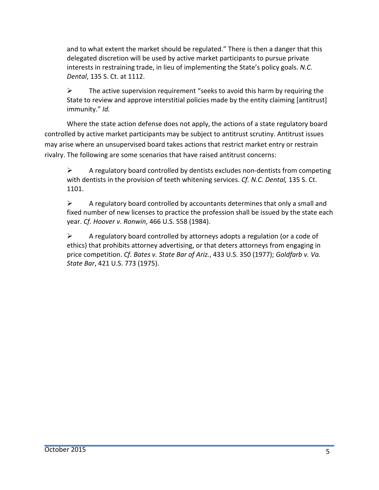and to what extent the market should be regulated." There is then a danger that this delegated discretion will be used by active market participants to pursue private interests in restraining trade, in lieu of implementing the State's policy goals. *N.C. Dental*, 135 S. Ct. at 1112.

 $\triangleright$  The active supervision requirement "seeks to avoid this harm by requiring the State to review and approve interstitial policies made by the entity claiming [antitrust] immunity." *Id.*

Where the state action defense does not apply, the actions of a state regulatory board controlled by active market participants may be subject to antitrust scrutiny. Antitrust issues may arise where an unsupervised board takes actions that restrict market entry or restrain rivalry. The following are some scenarios that have raised antitrust concerns:

 $\triangleright$  A regulatory board controlled by dentists excludes non-dentists from competing with dentists in the provision of teeth whitening services. *Cf. N.C. Dental,* 135 S. Ct. 1101.

 $\triangleright$  A regulatory board controlled by accountants determines that only a small and fixed number of new licenses to practice the profession shall be issued by the state each year. *Cf. Hoover v. Ronwin*, 466 U.S. 558 (1984).

 $\triangleright$  A regulatory board controlled by attorneys adopts a regulation (or a code of ethics) that prohibits attorney advertising, or that deters attorneys from engaging in price competition. *Cf. Bates v. State Bar of Ariz.*, 433 U.S. 350 (1977); *Goldfarb v. Va. State Bar*, 421 U.S. 773 (1975).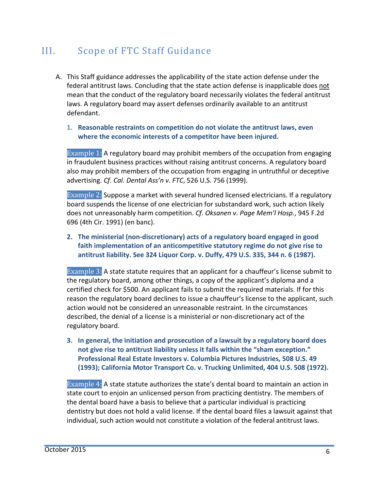### III. Scope of FTC Staff Guidance

- A. This Staff guidance addresses the applicability of the state action defense under the federal antitrust laws. Concluding that the state action defense is inapplicable does not mean that the conduct of the regulatory board necessarily violates the federal antitrust laws. A regulatory board may assert defenses ordinarily available to an antitrust defendant.
	- **1. Reasonable restraints on competition do not violate the antitrust laws, even where the economic interests of a competitor have been injured.**

Example 1: A regulatory board may prohibit members of the occupation from engaging in fraudulent business practices without raising antitrust concerns. A regulatory board also may prohibit members of the occupation from engaging in untruthful or deceptive advertising. *Cf. Cal. Dental Ass'n v. FTC*, 526 U.S. 756 (1999).

Example 2: Suppose a market with several hundred licensed electricians. If a regulatory board suspends the license of one electrician for substandard work, such action likely does not unreasonably harm competition. *Cf. Oksanen v. Page Mem'l Hosp.*, 945 F.2d 696 (4th Cir. 1991) (en banc).

**2. The ministerial (non-discretionary) acts of a regulatory board engaged in good faith implementation of an anticompetitive statutory regime do not give rise to antitrust liability. See 324 Liquor Corp. v. Duffy, 479 U.S. 335, 344 n. 6 (1987).**

Example 3: A state statute requires that an applicant for a chauffeur's license submit to the regulatory board, among other things, a copy of the applicant's diploma and a certified check for \$500. An applicant fails to submit the required materials. If for this reason the regulatory board declines to issue a chauffeur's license to the applicant, such action would not be considered an unreasonable restraint. In the circumstances described, the denial of a license is a ministerial or non-discretionary act of the regulatory board.

**3. In general, the initiation and prosecution of a lawsuit by a regulatory board does not give rise to antitrust liability unless it falls within the "sham exception." Professional Real Estate Investors v. Columbia Pictures Industries, 508 U.S. 49 (1993); California Motor Transport Co. v. Trucking Unlimited, 404 U.S. 508 (1972).**

Example 4: A state statute authorizes the state's dental board to maintain an action in state court to enjoin an unlicensed person from practicing dentistry. The members of the dental board have a basis to believe that a particular individual is practicing dentistry but does not hold a valid license. If the dental board files a lawsuit against that individual, such action would not constitute a violation of the federal antitrust laws.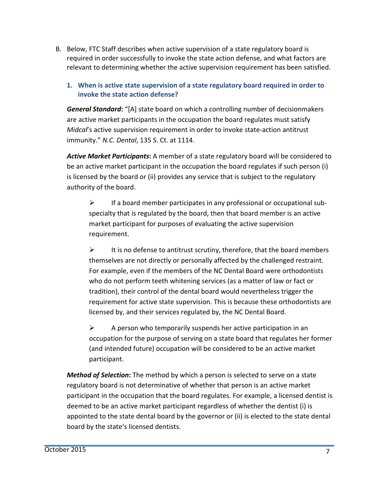B. Below, FTC Staff describes when active supervision of a state regulatory board is required in order successfully to invoke the state action defense, and what factors are relevant to determining whether the active supervision requirement has been satisfied.

#### **1. When is active state supervision of a state regulatory board required in order to invoke the state action defense?**

*General Standard***:** "[A] state board on which a controlling number of decisionmakers are active market participants in the occupation the board regulates must satisfy *Midcal*'s active supervision requirement in order to invoke state-action antitrust immunity." *N.C. Dental*, 135 S. Ct. at 1114.

*Active Market Participants***:** A member of a state regulatory board will be considered to be an active market participant in the occupation the board regulates if such person (i) is licensed by the board or (ii) provides any service that is subject to the regulatory authority of the board.

 $\triangleright$  If a board member participates in any professional or occupational subspecialty that is regulated by the board, then that board member is an active market participant for purposes of evaluating the active supervision requirement.

 $\triangleright$  It is no defense to antitrust scrutiny, therefore, that the board members themselves are not directly or personally affected by the challenged restraint. For example, even if the members of the NC Dental Board were orthodontists who do not perform teeth whitening services (as a matter of law or fact or tradition), their control of the dental board would nevertheless trigger the requirement for active state supervision. This is because these orthodontists are licensed by, and their services regulated by, the NC Dental Board.

 $\triangleright$  A person who temporarily suspends her active participation in an occupation for the purpose of serving on a state board that regulates her former (and intended future) occupation will be considered to be an active market participant.

*Method of Selection***:** The method by which a person is selected to serve on a state regulatory board is not determinative of whether that person is an active market participant in the occupation that the board regulates. For example, a licensed dentist is deemed to be an active market participant regardless of whether the dentist (i) is appointed to the state dental board by the governor or (ii) is elected to the state dental board by the state's licensed dentists.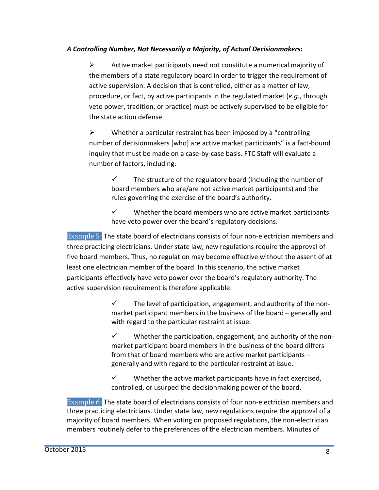#### *A Controlling Number, Not Necessarily a Majority, of Actual Decisionmakers***:**

 $\triangleright$  Active market participants need not constitute a numerical majority of the members of a state regulatory board in order to trigger the requirement of active supervision. A decision that is controlled, either as a matter of law, procedure, or fact, by active participants in the regulated market (*e.g.*, through veto power, tradition, or practice) must be actively supervised to be eligible for the state action defense.

 $\triangleright$  Whether a particular restraint has been imposed by a "controlling" number of decisionmakers [who] are active market participants" is a fact-bound inquiry that must be made on a case-by-case basis. FTC Staff will evaluate a number of factors, including:

 $\checkmark$  The structure of the regulatory board (including the number of board members who are/are not active market participants) and the rules governing the exercise of the board's authority.

 $\checkmark$  Whether the board members who are active market participants have veto power over the board's regulatory decisions.

Example 5: The state board of electricians consists of four non-electrician members and three practicing electricians. Under state law, new regulations require the approval of five board members. Thus, no regulation may become effective without the assent of at least one electrician member of the board. In this scenario, the active market participants effectively have veto power over the board's regulatory authority. The active supervision requirement is therefore applicable.

> $\checkmark$  The level of participation, engagement, and authority of the nonmarket participant members in the business of the board – generally and with regard to the particular restraint at issue.

> $\checkmark$  Whether the participation, engagement, and authority of the nonmarket participant board members in the business of the board differs from that of board members who are active market participants – generally and with regard to the particular restraint at issue.

 $\checkmark$  Whether the active market participants have in fact exercised, controlled, or usurped the decisionmaking power of the board.

Example 6: The state board of electricians consists of four non-electrician members and three practicing electricians. Under state law, new regulations require the approval of a majority of board members. When voting on proposed regulations, the non-electrician members routinely defer to the preferences of the electrician members. Minutes of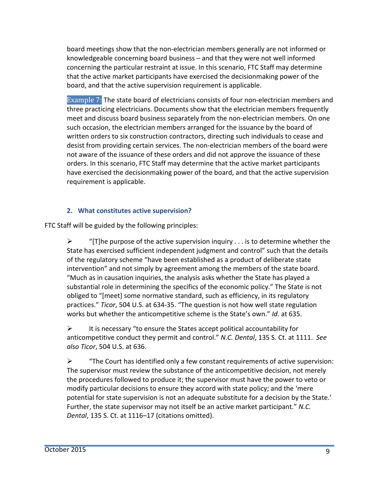board meetings show that the non-electrician members generally are not informed or knowledgeable concerning board business – and that they were not well informed concerning the particular restraint at issue. In this scenario, FTC Staff may determine that the active market participants have exercised the decisionmaking power of the board, and that the active supervision requirement is applicable.

Example 7: The state board of electricians consists of four non-electrician members and three practicing electricians. Documents show that the electrician members frequently meet and discuss board business separately from the non-electrician members. On one such occasion, the electrician members arranged for the issuance by the board of written orders to six construction contractors, directing such individuals to cease and desist from providing certain services. The non-electrician members of the board were not aware of the issuance of these orders and did not approve the issuance of these orders. In this scenario, FTC Staff may determine that the active market participants have exercised the decisionmaking power of the board, and that the active supervision requirement is applicable.

#### **2. What constitutes active supervision?**

FTC Staff will be guided by the following principles:

 $\triangleright$  "[T]he purpose of the active supervision inquiry . . . is to determine whether the State has exercised sufficient independent judgment and control" such that the details of the regulatory scheme "have been established as a product of deliberate state intervention" and not simply by agreement among the members of the state board. "Much as in causation inquiries, the analysis asks whether the State has played a substantial role in determining the specifics of the economic policy." The State is not obliged to "[meet] some normative standard, such as efficiency, in its regulatory practices." *Ticor*, 504 U.S. at 634-35. "The question is not how well state regulation works but whether the anticompetitive scheme is the State's own." *Id*. at 635.

 $\triangleright$  It is necessary "to ensure the States accept political accountability for anticompetitive conduct they permit and control." *N.C. Dental*, 135 S. Ct. at 1111. *See also Ticor*, 504 U.S. at 636.

 $\triangleright$  "The Court has identified only a few constant requirements of active supervision: The supervisor must review the substance of the anticompetitive decision, not merely the procedures followed to produce it; the supervisor must have the power to veto or modify particular decisions to ensure they accord with state policy; and the 'mere potential for state supervision is not an adequate substitute for a decision by the State.' Further, the state supervisor may not itself be an active market participant." *N.C. Dental*, 135 S. Ct. at 1116–17 (citations omitted).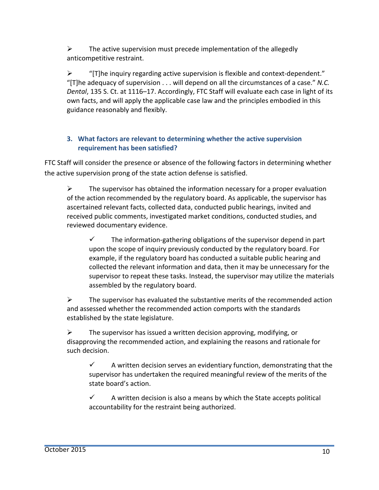$\triangleright$  The active supervision must precede implementation of the allegedly anticompetitive restraint.

 $\triangleright$  "[T]he inquiry regarding active supervision is flexible and context-dependent." "[T]he adequacy of supervision . . . will depend on all the circumstances of a case." *N.C. Dental*, 135 S. Ct. at 1116–17. Accordingly, FTC Staff will evaluate each case in light of its own facts, and will apply the applicable case law and the principles embodied in this guidance reasonably and flexibly.

#### **3. What factors are relevant to determining whether the active supervision requirement has been satisfied?**

FTC Staff will consider the presence or absence of the following factors in determining whether the active supervision prong of the state action defense is satisfied.

 $\triangleright$  The supervisor has obtained the information necessary for a proper evaluation of the action recommended by the regulatory board. As applicable, the supervisor has ascertained relevant facts, collected data, conducted public hearings, invited and received public comments, investigated market conditions, conducted studies, and reviewed documentary evidence.

 $\checkmark$  The information-gathering obligations of the supervisor depend in part upon the scope of inquiry previously conducted by the regulatory board. For example, if the regulatory board has conducted a suitable public hearing and collected the relevant information and data, then it may be unnecessary for the supervisor to repeat these tasks. Instead, the supervisor may utilize the materials assembled by the regulatory board.

 $\triangleright$  The supervisor has evaluated the substantive merits of the recommended action and assessed whether the recommended action comports with the standards established by the state legislature.

 $\triangleright$  The supervisor has issued a written decision approving, modifying, or disapproving the recommended action, and explaining the reasons and rationale for such decision.

 $\checkmark$  A written decision serves an evidentiary function, demonstrating that the supervisor has undertaken the required meaningful review of the merits of the state board's action.

 $\checkmark$  A written decision is also a means by which the State accepts political accountability for the restraint being authorized.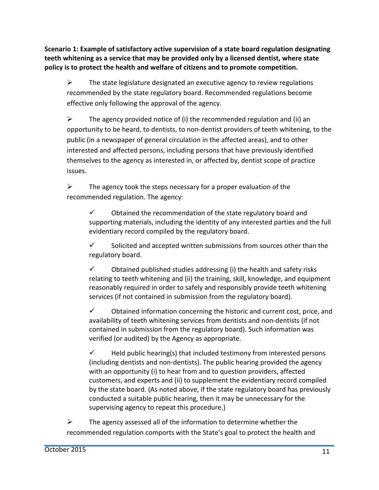**Scenario 1: Example of satisfactory active supervision of a state board regulation designating teeth whitening as a service that may be provided only by a licensed dentist, where state policy is to protect the health and welfare of citizens and to promote competition.**

 $\triangleright$  The state legislature designated an executive agency to review regulations recommended by the state regulatory board. Recommended regulations become effective only following the approval of the agency.

 $\triangleright$  The agency provided notice of (i) the recommended regulation and (ii) an opportunity to be heard, to dentists, to non-dentist providers of teeth whitening, to the public (in a newspaper of general circulation in the affected areas), and to other interested and affected persons, including persons that have previously identified themselves to the agency as interested in, or affected by, dentist scope of practice issues.

 $\triangleright$  The agency took the steps necessary for a proper evaluation of the recommended regulation. The agency:

 $\checkmark$  Dbtained the recommendation of the state regulatory board and supporting materials, including the identity of any interested parties and the full evidentiary record compiled by the regulatory board.

 $\checkmark$  Solicited and accepted written submissions from sources other than the regulatory board.

 $\checkmark$  Dbtained published studies addressing (i) the health and safety risks relating to teeth whitening and (ii) the training, skill, knowledge, and equipment reasonably required in order to safely and responsibly provide teeth whitening services (if not contained in submission from the regulatory board).

 $\checkmark$  Dbtained information concerning the historic and current cost, price, and availability of teeth whitening services from dentists and non-dentists (if not contained in submission from the regulatory board). Such information was verified (or audited) by the Agency as appropriate.

 $\checkmark$  Held public hearing(s) that included testimony from interested persons (including dentists and non-dentists). The public hearing provided the agency with an opportunity (i) to hear from and to question providers, affected customers, and experts and (ii) to supplement the evidentiary record compiled by the state board. (As noted above, if the state regulatory board has previously conducted a suitable public hearing, then it may be unnecessary for the supervising agency to repeat this procedure.)

 $\triangleright$  The agency assessed all of the information to determine whether the recommended regulation comports with the State's goal to protect the health and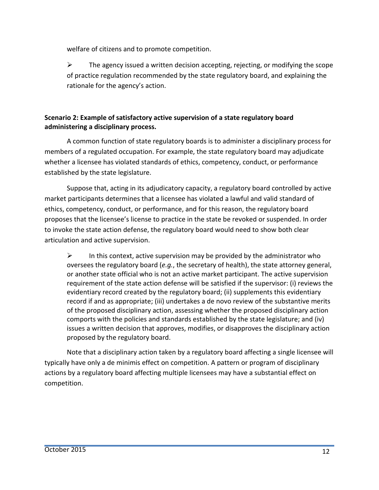welfare of citizens and to promote competition.

 $\triangleright$  The agency issued a written decision accepting, rejecting, or modifying the scope of practice regulation recommended by the state regulatory board, and explaining the rationale for the agency's action.

#### **Scenario 2: Example of satisfactory active supervision of a state regulatory board administering a disciplinary process.**

A common function of state regulatory boards is to administer a disciplinary process for members of a regulated occupation. For example, the state regulatory board may adjudicate whether a licensee has violated standards of ethics, competency, conduct, or performance established by the state legislature.

Suppose that, acting in its adjudicatory capacity, a regulatory board controlled by active market participants determines that a licensee has violated a lawful and valid standard of ethics, competency, conduct, or performance, and for this reason, the regulatory board proposes that the licensee's license to practice in the state be revoked or suspended. In order to invoke the state action defense, the regulatory board would need to show both clear articulation and active supervision.

 $\triangleright$  In this context, active supervision may be provided by the administrator who oversees the regulatory board (*e.g.*, the secretary of health), the state attorney general, or another state official who is not an active market participant. The active supervision requirement of the state action defense will be satisfied if the supervisor: (i) reviews the evidentiary record created by the regulatory board; (ii) supplements this evidentiary record if and as appropriate; (iii) undertakes a de novo review of the substantive merits of the proposed disciplinary action, assessing whether the proposed disciplinary action comports with the policies and standards established by the state legislature; and (iv) issues a written decision that approves, modifies, or disapproves the disciplinary action proposed by the regulatory board.

Note that a disciplinary action taken by a regulatory board affecting a single licensee will typically have only a de minimis effect on competition. A pattern or program of disciplinary actions by a regulatory board affecting multiple licensees may have a substantial effect on competition.